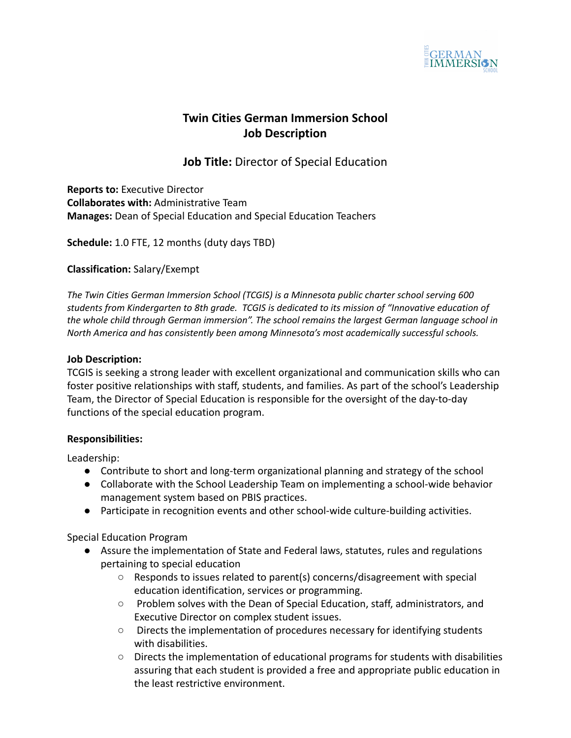

# **Twin Cities German Immersion School Job Description**

**Job Title:** Director of Special Education

**Reports to:** Executive Director **Collaborates with:** Administrative Team **Manages:** Dean of Special Education and Special Education Teachers

**Schedule:** 1.0 FTE, 12 months (duty days TBD)

## **Classification:** Salary/Exempt

*The Twin Cities German Immersion School (TCGIS) is a Minnesota public charter school serving 600 students from Kindergarten to 8th grade. TCGIS is dedicated to its mission of "Innovative education of the whole child through German immersion". The school remains the largest German language school in North America and has consistently been among Minnesota's most academically successful schools.*

### **Job Description:**

TCGIS is seeking a strong leader with excellent organizational and communication skills who can foster positive relationships with staff, students, and families. As part of the school's Leadership Team, the Director of Special Education is responsible for the oversight of the day-to-day functions of the special education program.

### **Responsibilities:**

Leadership:

- Contribute to short and long-term organizational planning and strategy of the school
- Collaborate with the School Leadership Team on implementing a school-wide behavior management system based on PBIS practices.
- Participate in recognition events and other school-wide culture-building activities.

Special Education Program

- Assure the implementation of State and Federal laws, statutes, rules and regulations pertaining to special education
	- $\circ$  Responds to issues related to parent(s) concerns/disagreement with special education identification, services or programming.
	- Problem solves with the Dean of Special Education, staff, administrators, and Executive Director on complex student issues.
	- Directs the implementation of procedures necessary for identifying students with disabilities.
	- $\circ$  Directs the implementation of educational programs for students with disabilities assuring that each student is provided a free and appropriate public education in the least restrictive environment.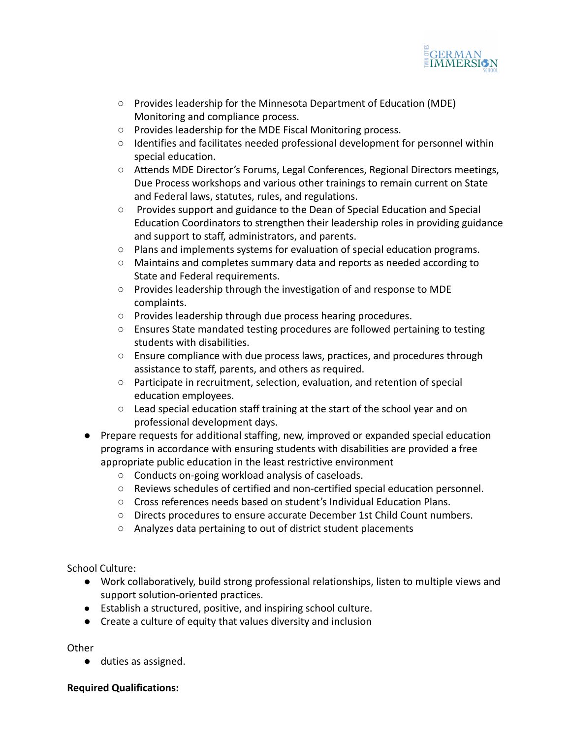

- Provides leadership for the Minnesota Department of Education (MDE) Monitoring and compliance process.
- Provides leadership for the MDE Fiscal Monitoring process.
- Identifies and facilitates needed professional development for personnel within special education.
- Attends MDE Director's Forums, Legal Conferences, Regional Directors meetings, Due Process workshops and various other trainings to remain current on State and Federal laws, statutes, rules, and regulations.
- Provides support and guidance to the Dean of Special Education and Special Education Coordinators to strengthen their leadership roles in providing guidance and support to staff, administrators, and parents.
- Plans and implements systems for evaluation of special education programs.
- Maintains and completes summary data and reports as needed according to State and Federal requirements.
- Provides leadership through the investigation of and response to MDE complaints.
- Provides leadership through due process hearing procedures.
- Ensures State mandated testing procedures are followed pertaining to testing students with disabilities.
- $\circ$  Ensure compliance with due process laws, practices, and procedures through assistance to staff, parents, and others as required.
- Participate in recruitment, selection, evaluation, and retention of special education employees.
- Lead special education staff training at the start of the school year and on professional development days.
- Prepare requests for additional staffing, new, improved or expanded special education programs in accordance with ensuring students with disabilities are provided a free appropriate public education in the least restrictive environment
	- Conducts on-going workload analysis of caseloads.
	- Reviews schedules of certified and non-certified special education personnel.
	- Cross references needs based on student's Individual Education Plans.
	- Directs procedures to ensure accurate December 1st Child Count numbers.
	- Analyzes data pertaining to out of district student placements

School Culture:

- **●** Work collaboratively, build strong professional relationships, listen to multiple views and support solution-oriented practices.
- Establish a structured, positive, and inspiring school culture.
- Create a culture of equity that values diversity and inclusion

**Other** 

● duties as assigned.

### **Required Qualifications:**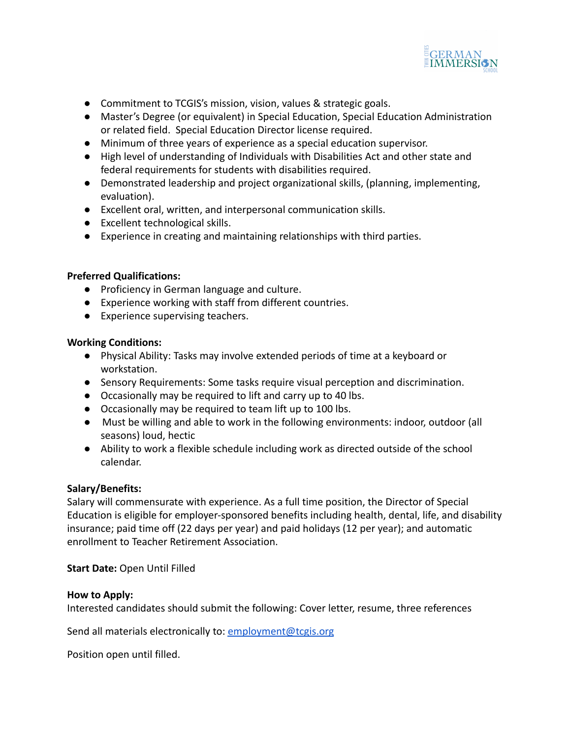

- Commitment to TCGIS's mission, vision, values & strategic goals.
- Master's Degree (or equivalent) in Special Education, Special Education Administration or related field. Special Education Director license required.
- Minimum of three years of experience as a special education supervisor.
- High level of understanding of Individuals with Disabilities Act and other state and federal requirements for students with disabilities required.
- Demonstrated leadership and project organizational skills, (planning, implementing, evaluation).
- Excellent oral, written, and interpersonal communication skills.
- Excellent technological skills.
- Experience in creating and maintaining relationships with third parties.

### **Preferred Qualifications:**

- **●** Proficiency in German language and culture.
- Experience working with staff from different countries.
- Experience supervising teachers.

#### **Working Conditions:**

- Physical Ability: Tasks may involve extended periods of time at a keyboard or workstation.
- Sensory Requirements: Some tasks require visual perception and discrimination.
- Occasionally may be required to lift and carry up to 40 lbs.
- Occasionally may be required to team lift up to 100 lbs.
- Must be willing and able to work in the following environments: indoor, outdoor (all seasons) loud, hectic
- Ability to work a flexible schedule including work as directed outside of the school calendar.

### **Salary/Benefits:**

Salary will commensurate with experience. As a full time position, the Director of Special Education is eligible for employer-sponsored benefits including health, dental, life, and disability insurance; paid time off (22 days per year) and paid holidays (12 per year); and automatic enrollment to Teacher Retirement Association.

**Start Date:** Open Until Filled

#### **How to Apply:**

Interested candidates should submit the following: Cover letter, resume, three references

Send all materials electronically to: [employment@tcgis.org](mailto:employment@tcgis.org)

Position open until filled.